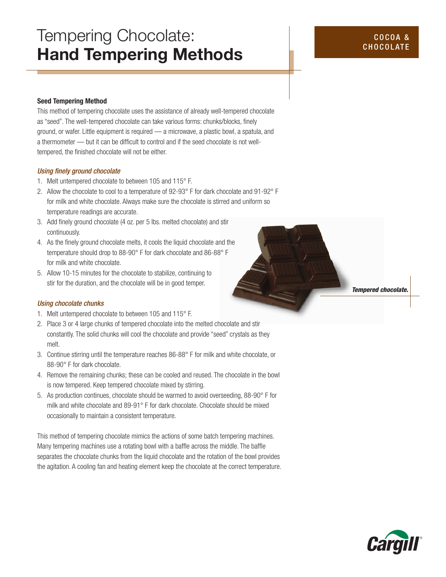# Tempering Chocolate: Hand Tempering Methods

### Seed Tempering Method

This method of tempering chocolate uses the assistance of already well-tempered chocolate as "seed". The well-tempered chocolate can take various forms: chunks/blocks, finely ground, or wafer. Little equipment is required — a microwave, a plastic bowl, a spatula, and a thermometer — but it can be difficult to control and if the seed chocolate is not welltempered, the finished chocolate will not be either.

#### *Using finely ground chocolate*

- 1. Melt untempered chocolate to between 105 and 115° F.
- 2. Allow the chocolate to cool to a temperature of 92-93° F for dark chocolate and 91-92° F for milk and white chocolate. Always make sure the chocolate is stirred and uniform so temperature readings are accurate.
- 3. Add finely ground chocolate (4 oz. per 5 lbs. melted chocolate) and stir continuously.
- 4. As the finely ground chocolate melts, it cools the liquid chocolate and the temperature should drop to 88-90° F for dark chocolate and 86-88° F for milk and white chocolate.
- 5. Allow 10-15 minutes for the chocolate to stabilize, continuing to stir for the duration, and the chocolate will be in good temper.

#### *Using chocolate chunks*

- 1. Melt untempered chocolate to between 105 and 115° F.
- 2. Place 3 or 4 large chunks of tempered chocolate into the melted chocolate and stir constantly. The solid chunks will cool the chocolate and provide "seed" crystals as they melt.
- 3. Continue stirring until the temperature reaches 86-88° F for milk and white chocolate, or 88-90° F for dark chocolate.
- 4. Remove the remaining chunks; these can be cooled and reused. The chocolate in the bowl is now tempered. Keep tempered chocolate mixed by stirring.
- 5. As production continues, chocolate should be warmed to avoid overseeding, 88-90° F for milk and white chocolate and 89-91° F for dark chocolate. Chocolate should be mixed occasionally to maintain a consistent temperature.

This method of tempering chocolate mimics the actions of some batch tempering machines. Many tempering machines use a rotating bowl with a baffle across the middle. The baffle separates the chocolate chunks from the liquid chocolate and the rotation of the bowl provides the agitation. A cooling fan and heating element keep the chocolate at the correct temperature. *Tempered chocolate.*